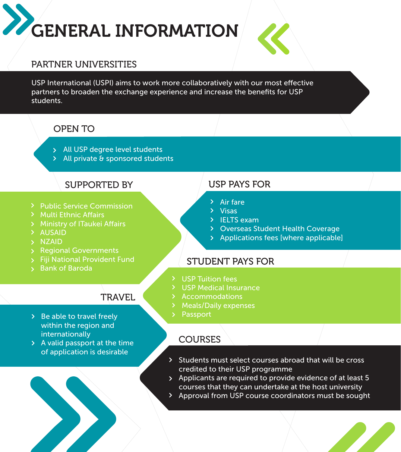# GENERAL INFORMATION



#### PARTNER UNIVERSITIES

USP International (USPI) aims to work more collaboratively with our most effective partners to broaden the exchange experience and increase the benefits for USP students.

#### OPEN TO

- > All USP degree level students
- All private & sponsored students

### SUPPORTED BY

- > Public Service Commission
- > Multi Ethnic Affairs
- > Ministry of ITaukei Affairs
- AUSAID
- > NZAID
- > Regional Governments
- Fiji National Provident Fund
- Bank of Baroda

## **TRAVEL**

- $\geq$  Be able to travel freely within the region and internationally
- A valid passport at the time of application is desirable



# USP PAYS FOR

- $\lambda$  Air fare
- $\sum$  Visas
- > IELTS exam
- Overseas Student Health Coverage
- Applications fees [where applicable]

#### STUDENT PAYS FOR

- > USP Tuition fees
- USP Medical Insurance
- > Accommodations
- Meals/Daily expenses
- Passport

#### **COURSES**

- Students must select courses abroad that will be cross credited to their USP programme
- Applicants are required to provide evidence of at least 5 courses that they can undertake at the host university
- Approval from USP course coordinators must be sought